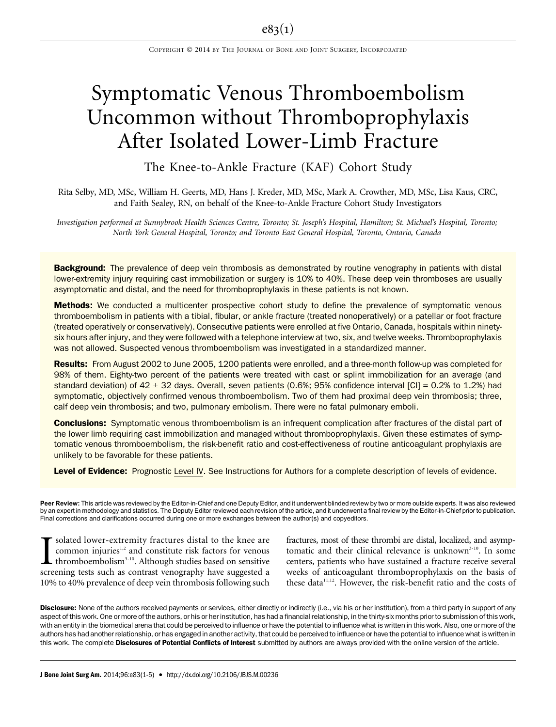# Symptomatic Venous Thromboembolism Uncommon without Thromboprophylaxis After Isolated Lower-Limb Fracture

The Knee-to-Ankle Fracture (KAF) Cohort Study

Rita Selby, MD, MSc, William H. Geerts, MD, Hans J. Kreder, MD, MSc, Mark A. Crowther, MD, MSc, Lisa Kaus, CRC, and Faith Sealey, RN, on behalf of the Knee-to-Ankle Fracture Cohort Study Investigators

Investigation performed at Sunnybrook Health Sciences Centre, Toronto; St. Joseph's Hospital, Hamilton; St. Michael's Hospital, Toronto; North York General Hospital, Toronto; and Toronto East General Hospital, Toronto, Ontario, Canada

**Background:** The prevalence of deep vein thrombosis as demonstrated by routine venography in patients with distal lower-extremity injury requiring cast immobilization or surgery is 10% to 40%. These deep vein thromboses are usually asymptomatic and distal, and the need for thromboprophylaxis in these patients is not known.

**Methods:** We conducted a multicenter prospective cohort study to define the prevalence of symptomatic venous thromboembolism in patients with a tibial, fibular, or ankle fracture (treated nonoperatively) or a patellar or foot fracture (treated operatively or conservatively). Consecutive patients were enrolled at five Ontario, Canada, hospitals within ninetysix hours after injury, and they were followed with a telephone interview at two, six, and twelve weeks. Thromboprophylaxis was not allowed. Suspected venous thromboembolism was investigated in a standardized manner.

Results: From August 2002 to June 2005, 1200 patients were enrolled, and a three-month follow-up was completed for 98% of them. Eighty-two percent of the patients were treated with cast or splint immobilization for an average (and standard deviation) of  $42 \pm 32$  days. Overall, seven patients (0.6%; 95% confidence interval [CI] = 0.2% to 1.2%) had symptomatic, objectively confirmed venous thromboembolism. Two of them had proximal deep vein thrombosis; three, calf deep vein thrombosis; and two, pulmonary embolism. There were no fatal pulmonary emboli.

**Conclusions:** Symptomatic venous thromboembolism is an infrequent complication after fractures of the distal part of the lower limb requiring cast immobilization and managed without thromboprophylaxis. Given these estimates of symptomatic venous thromboembolism, the risk-benefit ratio and cost-effectiveness of routine anticoagulant prophylaxis are unlikely to be favorable for these patients.

Level of Evidence: Prognostic Level IV. See Instructions for Authors for a complete description of levels of evidence.

Peer Review: This article was reviewed by the Editor-in-Chief and one Deputy Editor, and it underwent blinded review by two or more outside experts. It was also reviewed by an expert in methodology and statistics. The Deputy Editor reviewed each revision of the article, and it underwent a final review by the Editor-in-Chief prior to publication. Final corrections and clarifications occurred during one or more exchanges between the author(s) and copyeditors.

Solated lower-extremity fractures distal to the knee are common injuries<sup>1,2</sup> and constitute risk factors for venous thromboembolism<sup>3,10</sup>. Although studies based on sensitive screening tests such as contrast venography ha solated lower-extremity fractures distal to the knee are common injuries<sup>1,2</sup> and constitute risk factors for venous thromboembolism3-10. Although studies based on sensitive 10% to 40% prevalence of deep vein thrombosis following such

fractures, most of these thrombi are distal, localized, and asymptomatic and their clinical relevance is unknown<sup>3-10</sup>. In some centers, patients who have sustained a fracture receive several weeks of anticoagulant thromboprophylaxis on the basis of these data<sup>11,12</sup>. However, the risk-benefit ratio and the costs of

Disclosure: None of the authors received payments or services, either directly or indirectly (i.e., via his or her institution), from a third party in support of any aspect of this work. One or more of the authors, or his or her institution, has had a financial relationship, in the thirty-six months prior to submission of this work, with an entity in the biomedical arena that could be perceived to influence or have the potential to influence what is written in this work. Also, one or more of the authors has had another relationship, or has engaged in another activity, that could be perceived to influence or have the potential to influence what iswritten in this work. The complete Disclosures of Potential Conflicts of Interest submitted by authors are always provided with the online version of the article.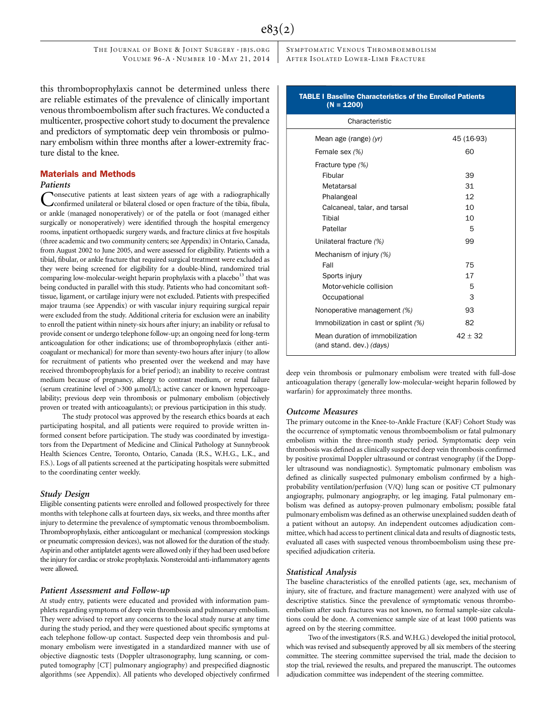THE JOURNAL OF BONE & JOINT SURGERY · JBJS.ORG VOLUME  $96-A \cdot N$ UMBER  $10 \cdot M_A$ Y 21, 2014

this thromboprophylaxis cannot be determined unless there are reliable estimates of the prevalence of clinically important venous thromboembolism after such fractures. We conducted a multicenter, prospective cohort study to document the prevalence and predictors of symptomatic deep vein thrombosis or pulmonary embolism within three months after a lower-extremity fracture distal to the knee.

# Materials and Methods **Patients**

Consecutive patients at least sixteen years of age with a radiographically confirmed unilateral or bilateral closed or open fracture of the tibia, fibula, or ankle (managed nonoperatively) or of the patella or foot (managed either surgically or nonoperatively) were identified through the hospital emergency rooms, inpatient orthopaedic surgery wards, and fracture clinics at five hospitals (three academic and two community centers; see Appendix) in Ontario, Canada, from August 2002 to June 2005, and were assessed for eligibility. Patients with a tibial, fibular, or ankle fracture that required surgical treatment were excluded as they were being screened for eligibility for a double-blind, randomized trial comparing low-molecular-weight heparin prophylaxis with a placebo $13$  that was being conducted in parallel with this study. Patients who had concomitant softtissue, ligament, or cartilage injury were not excluded. Patients with prespecified major trauma (see Appendix) or with vascular injury requiring surgical repair were excluded from the study. Additional criteria for exclusion were an inability to enroll the patient within ninety-six hours after injury; an inability or refusal to provide consent or undergo telephone follow-up; an ongoing need for long-term anticoagulation for other indications; use of thromboprophylaxis (either anticoagulant or mechanical) for more than seventy-two hours after injury (to allow for recruitment of patients who presented over the weekend and may have received thromboprophylaxis for a brief period); an inability to receive contrast medium because of pregnancy, allergy to contrast medium, or renal failure (serum creatinine level of  $>300 \mu$ mol/L); active cancer or known hypercoagulability; previous deep vein thrombosis or pulmonary embolism (objectively proven or treated with anticoagulants); or previous participation in this study.

The study protocol was approved by the research ethics boards at each participating hospital, and all patients were required to provide written informed consent before participation. The study was coordinated by investigators from the Department of Medicine and Clinical Pathology at Sunnybrook Health Sciences Centre, Toronto, Ontario, Canada (R.S., W.H.G., L.K., and F.S.). Logs of all patients screened at the participating hospitals were submitted to the coordinating center weekly.

# Study Design

Eligible consenting patients were enrolled and followed prospectively for three months with telephone calls at fourteen days, six weeks, and three months after injury to determine the prevalence of symptomatic venous thromboembolism. Thromboprophylaxis, either anticoagulant or mechanical (compression stockings or pneumatic compression devices), was not allowed for the duration of the study. Aspirin and other antiplatelet agents were allowed only if they had been used before the injury for cardiac or stroke prophylaxis. Nonsteroidal anti-inflammatory agents were allowed.

#### Patient Assessment and Follow-up

At study entry, patients were educated and provided with information pamphlets regarding symptoms of deep vein thrombosis and pulmonary embolism. They were advised to report any concerns to the local study nurse at any time during the study period, and they were questioned about specific symptoms at each telephone follow-up contact. Suspected deep vein thrombosis and pulmonary embolism were investigated in a standardized manner with use of objective diagnostic tests (Doppler ultrasonography, lung scanning, or computed tomography [CT] pulmonary angiography) and prespecified diagnostic algorithms (see Appendix). All patients who developed objectively confirmed

SYMPTOMATIC VENOUS THROMBOEMBOLISM AFTER ISOLATED LOWER-LIMB FRACTURE

#### TABLE I Baseline Characteristics of the Enrolled Patients  $(N = 1200)$

| Characteristic                                              |            |
|-------------------------------------------------------------|------------|
| Mean age (range) (yr)                                       | 45 (16-93) |
| Female sex (%)                                              | 60         |
| Fracture type (%)                                           |            |
| Fibular                                                     | 39         |
| Metatarsal                                                  | 31         |
| Phalangeal                                                  | 12         |
| Calcaneal, talar, and tarsal                                | 10         |
| Tibial                                                      | 10         |
| Patellar                                                    | 5          |
| Unilateral fracture (%)                                     | 99         |
| Mechanism of injury (%)                                     |            |
| Fall                                                        | 75         |
| Sports injury                                               | 17         |
| Motor-vehicle collision                                     | 5          |
| Occupational                                                | 3          |
| Nonoperative management (%)                                 | 93         |
| Immobilization in cast or splint (%)                        | 82         |
| Mean duration of immobilization<br>(and stand. dev.) (days) | $42 + 32$  |

deep vein thrombosis or pulmonary embolism were treated with full-dose anticoagulation therapy (generally low-molecular-weight heparin followed by warfarin) for approximately three months.

#### Outcome Measures

The primary outcome in the Knee-to-Ankle Fracture (KAF) Cohort Study was the occurrence of symptomatic venous thromboembolism or fatal pulmonary embolism within the three-month study period. Symptomatic deep vein thrombosis was defined as clinically suspected deep vein thrombosis confirmed by positive proximal Doppler ultrasound or contrast venography (if the Doppler ultrasound was nondiagnostic). Symptomatic pulmonary embolism was defined as clinically suspected pulmonary embolism confirmed by a highprobability ventilation/perfusion (V/Q) lung scan or positive CT pulmonary angiography, pulmonary angiography, or leg imaging. Fatal pulmonary embolism was defined as autopsy-proven pulmonary embolism; possible fatal pulmonary embolism was defined as an otherwise unexplained sudden death of a patient without an autopsy. An independent outcomes adjudication committee, which had access to pertinent clinical data and results of diagnostic tests, evaluated all cases with suspected venous thromboembolism using these prespecified adjudication criteria.

#### Statistical Analysis

The baseline characteristics of the enrolled patients (age, sex, mechanism of injury, site of fracture, and fracture management) were analyzed with use of descriptive statistics. Since the prevalence of symptomatic venous thromboembolism after such fractures was not known, no formal sample-size calculations could be done. A convenience sample size of at least 1000 patients was agreed on by the steering committee.

Two of the investigators (R.S. and W.H.G.) developed the initial protocol, which was revised and subsequently approved by all six members of the steering committee. The steering committee supervised the trial, made the decision to stop the trial, reviewed the results, and prepared the manuscript. The outcomes adjudication committee was independent of the steering committee.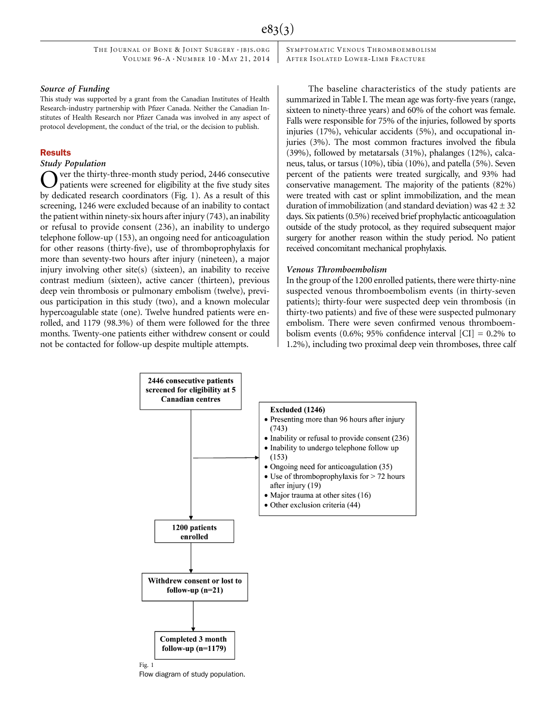THE JOURNAL OF BONE & JOINT SURGERY · JBJS.ORG VOLUME  $96-A \cdot N$ UMBER  $10 \cdot$ MAY 21, 2014

# Source of Funding

This study was supported by a grant from the Canadian Institutes of Health Research-industry partnership with Pfizer Canada. Neither the Canadian Institutes of Health Research nor Pfizer Canada was involved in any aspect of protocol development, the conduct of the trial, or the decision to publish.

## Results

### Study Population

ver the thirty-three-month study period, 2446 consecutive patients were screened for eligibility at the five study sites by dedicated research coordinators (Fig. 1). As a result of this screening, 1246 were excluded because of an inability to contact the patient within ninety-six hours after injury (743), an inability or refusal to provide consent (236), an inability to undergo telephone follow-up (153), an ongoing need for anticoagulation for other reasons (thirty-five), use of thromboprophylaxis for more than seventy-two hours after injury (nineteen), a major injury involving other site(s) (sixteen), an inability to receive contrast medium (sixteen), active cancer (thirteen), previous deep vein thrombosis or pulmonary embolism (twelve), previous participation in this study (two), and a known molecular hypercoagulable state (one). Twelve hundred patients were enrolled, and 1179 (98.3%) of them were followed for the three months. Twenty-one patients either withdrew consent or could not be contacted for follow-up despite multiple attempts.

SYMPTOMATIC VENOUS THROMBOEMBOLISM AFTER ISOLATED LOWER-LIMB FRACTURE

The baseline characteristics of the study patients are summarized in Table I. The mean age was forty-five years (range, sixteen to ninety-three years) and 60% of the cohort was female. Falls were responsible for 75% of the injuries, followed by sports injuries (17%), vehicular accidents (5%), and occupational injuries (3%). The most common fractures involved the fibula (39%), followed by metatarsals (31%), phalanges (12%), calcaneus, talus, or tarsus (10%), tibia (10%), and patella (5%). Seven percent of the patients were treated surgically, and 93% had conservative management. The majority of the patients (82%) were treated with cast or splint immobilization, and the mean duration of immobilization (and standard deviation) was  $42 \pm 32$ days. Six patients (0.5%) received brief prophylactic anticoagulation outside of the study protocol, as they required subsequent major surgery for another reason within the study period. No patient received concomitant mechanical prophylaxis.

### Venous Thromboembolism

In the group of the 1200 enrolled patients, there were thirty-nine suspected venous thromboembolism events (in thirty-seven patients); thirty-four were suspected deep vein thrombosis (in thirty-two patients) and five of these were suspected pulmonary embolism. There were seven confirmed venous thromboembolism events (0.6%; 95% confidence interval  $|CI| = 0.2\%$  to 1.2%), including two proximal deep vein thromboses, three calf

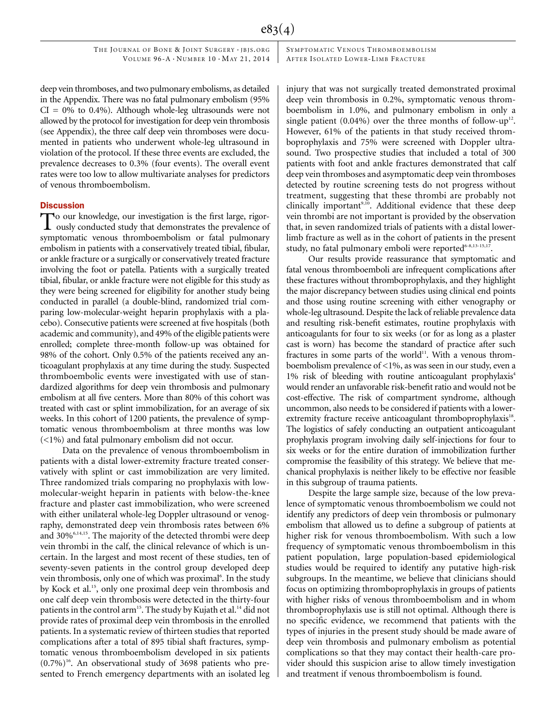THE JOURNAL OF BONE & JOINT SURGERY · JBJS.ORG VOLUME  $96-A \cdot N$ UMBER  $10 \cdot$ MAY 21, 2014 SYMPTOMATIC VENOUS THROMBOEMBOLISM AFTER ISOLATED LOWER-LIMB FRACTURE

deep vein thromboses, and two pulmonary embolisms, as detailed in the Appendix. There was no fatal pulmonary embolism (95%  $CI = 0\%$  to 0.4%). Although whole-leg ultrasounds were not allowed by the protocol for investigation for deep vein thrombosis (see Appendix), the three calf deep vein thromboses were documented in patients who underwent whole-leg ultrasound in violation of the protocol. If these three events are excluded, the prevalence decreases to 0.3% (four events). The overall event rates were too low to allow multivariate analyses for predictors of venous thromboembolism.

# **Discussion**

To our knowledge, our investigation is the first large, rigor-ously conducted study that demonstrates the prevalence of symptomatic venous thromboembolism or fatal pulmonary embolism in patients with a conservatively treated tibial, fibular, or ankle fracture or a surgically or conservatively treated fracture involving the foot or patella. Patients with a surgically treated tibial, fibular, or ankle fracture were not eligible for this study as they were being screened for eligibility for another study being conducted in parallel (a double-blind, randomized trial comparing low-molecular-weight heparin prophylaxis with a placebo). Consecutive patients were screened at five hospitals (both academic and community), and 49% of the eligible patients were enrolled; complete three-month follow-up was obtained for 98% of the cohort. Only 0.5% of the patients received any anticoagulant prophylaxis at any time during the study. Suspected thromboembolic events were investigated with use of standardized algorithms for deep vein thrombosis and pulmonary embolism at all five centers. More than 80% of this cohort was treated with cast or splint immobilization, for an average of six weeks. In this cohort of 1200 patients, the prevalence of symptomatic venous thromboembolism at three months was low (<1%) and fatal pulmonary embolism did not occur.

Data on the prevalence of venous thromboembolism in patients with a distal lower-extremity fracture treated conservatively with splint or cast immobilization are very limited. Three randomized trials comparing no prophylaxis with lowmolecular-weight heparin in patients with below-the-knee fracture and plaster cast immobilization, who were screened with either unilateral whole-leg Doppler ultrasound or venography, demonstrated deep vein thrombosis rates between 6% and 30%6,14,15. The majority of the detected thrombi were deep vein thrombi in the calf, the clinical relevance of which is uncertain. In the largest and most recent of these studies, ten of seventy-seven patients in the control group developed deep vein thrombosis, only one of which was proximal<sup>6</sup>. In the study by Kock et al.<sup>15</sup>, only one proximal deep vein thrombosis and one calf deep vein thrombosis were detected in the thirty-four patients in the control arm<sup>15</sup>. The study by Kujath et al.<sup>14</sup> did not provide rates of proximal deep vein thrombosis in the enrolled patients. In a systematic review of thirteen studies that reported complications after a total of 895 tibial shaft fractures, symptomatic venous thromboembolism developed in six patients  $(0.7\%)$ <sup>16</sup>. An observational study of 3698 patients who presented to French emergency departments with an isolated leg

injury that was not surgically treated demonstrated proximal deep vein thrombosis in 0.2%, symptomatic venous thromboembolism in 1.0%, and pulmonary embolism in only a single patient  $(0.04\%)$  over the three months of follow-up<sup>12</sup>. However, 61% of the patients in that study received thromboprophylaxis and 75% were screened with Doppler ultrasound. Two prospective studies that included a total of 300 patients with foot and ankle fractures demonstrated that calf deep vein thromboses and asymptomatic deep vein thromboses detected by routine screening tests do not progress without treatment, suggesting that these thrombi are probably not clinically important<sup>9,10</sup>. Additional evidence that these deep vein thrombi are not important is provided by the observation that, in seven randomized trials of patients with a distal lowerlimb fracture as well as in the cohort of patients in the present study, no fatal pulmonary emboli were reported<sup>6-8,13-15,17</sup>.

Our results provide reassurance that symptomatic and fatal venous thromboemboli are infrequent complications after these fractures without thromboprophylaxis, and they highlight the major discrepancy between studies using clinical end points and those using routine screening with either venography or whole-leg ultrasound. Despite the lack of reliable prevalence data and resulting risk-benefit estimates, routine prophylaxis with anticoagulants for four to six weeks (or for as long as a plaster cast is worn) has become the standard of practice after such fractures in some parts of the world<sup>11</sup>. With a venous thromboembolism prevalence of <1%, as was seen in our study, even a  $1\%$  risk of bleeding with routine anticoagulant prophylaxis<sup>4</sup> would render an unfavorable risk-benefit ratio and would not be cost-effective. The risk of compartment syndrome, although uncommon, also needs to be considered if patients with a lowerextremity fracture receive anticoagulant thromboprophylaxis<sup>18</sup>. The logistics of safely conducting an outpatient anticoagulant prophylaxis program involving daily self-injections for four to six weeks or for the entire duration of immobilization further compromise the feasibility of this strategy. We believe that mechanical prophylaxis is neither likely to be effective nor feasible in this subgroup of trauma patients.

Despite the large sample size, because of the low prevalence of symptomatic venous thromboembolism we could not identify any predictors of deep vein thrombosis or pulmonary embolism that allowed us to define a subgroup of patients at higher risk for venous thromboembolism. With such a low frequency of symptomatic venous thromboembolism in this patient population, large population-based epidemiological studies would be required to identify any putative high-risk subgroups. In the meantime, we believe that clinicians should focus on optimizing thromboprophylaxis in groups of patients with higher risks of venous thromboembolism and in whom thromboprophylaxis use is still not optimal. Although there is no specific evidence, we recommend that patients with the types of injuries in the present study should be made aware of deep vein thrombosis and pulmonary embolism as potential complications so that they may contact their health-care provider should this suspicion arise to allow timely investigation and treatment if venous thromboembolism is found.